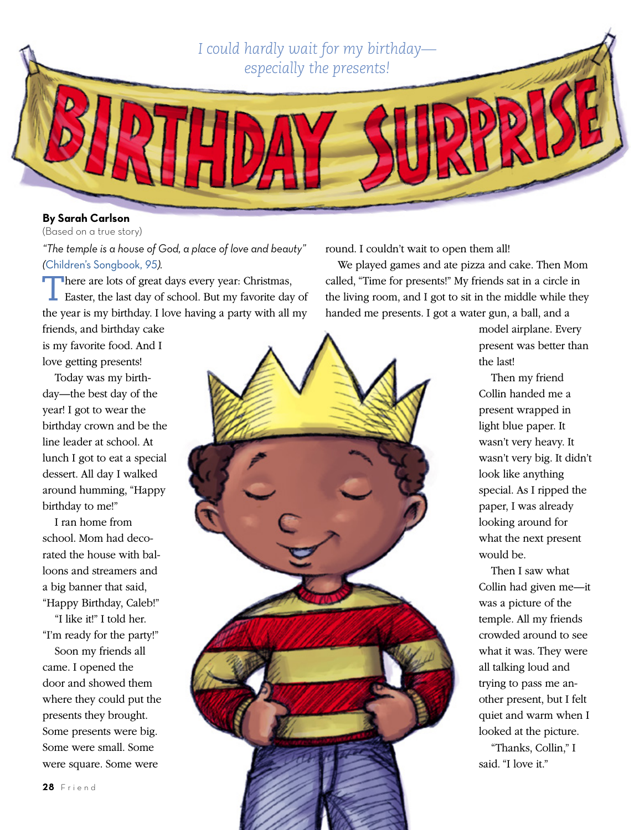*I could hardly wait for my birthday especially the presents!*

## **By Sarah Carlson**

(Based on a true story)

*"The temple is a house of God, a place of love and beauty" (*[Children's Songbook,](https://www.lds.org/music/library/childrens-songbook/i-love-to-see-the-temple?lang=eng) *95).*

There are lots of great days every year: Christmas, Easter, the last day of school. But my favorite day of the year is my birthday. I love having a party with all my

friends, and birthday cake is my favorite food. And I love getting presents!

Today was my birthday—the best day of the year! I got to wear the birthday crown and be the line leader at school. At lunch I got to eat a special dessert. All day I walked around humming, "Happy birthday to me!"

I ran home from school. Mom had decorated the house with balloons and streamers and a big banner that said, "Happy Birthday, Caleb!"

"I like it!" I told her. "I'm ready for the party!" Soon my friends all came. I opened the door and showed them where they could put the presents they brought. Some presents were big. Some were small. Some were square. Some were

round. I couldn't wait to open them all!

We played games and ate pizza and cake. Then Mom called, "Time for presents!" My friends sat in a circle in the living room, and I got to sit in the middle while they handed me presents. I got a water gun, a ball, and a

> model airplane. Every present was better than the last!

Then my friend Collin handed me a present wrapped in light blue paper. It wasn't very heavy. It wasn't very big. It didn't look like anything special. As I ripped the paper, I was already looking around for what the next present would be.

Then I saw what Collin had given me—it was a picture of the temple. All my friends crowded around to see what it was. They were all talking loud and trying to pass me another present, but I felt quiet and warm when I looked at the picture.

"Thanks, Collin," I said. "I love it."